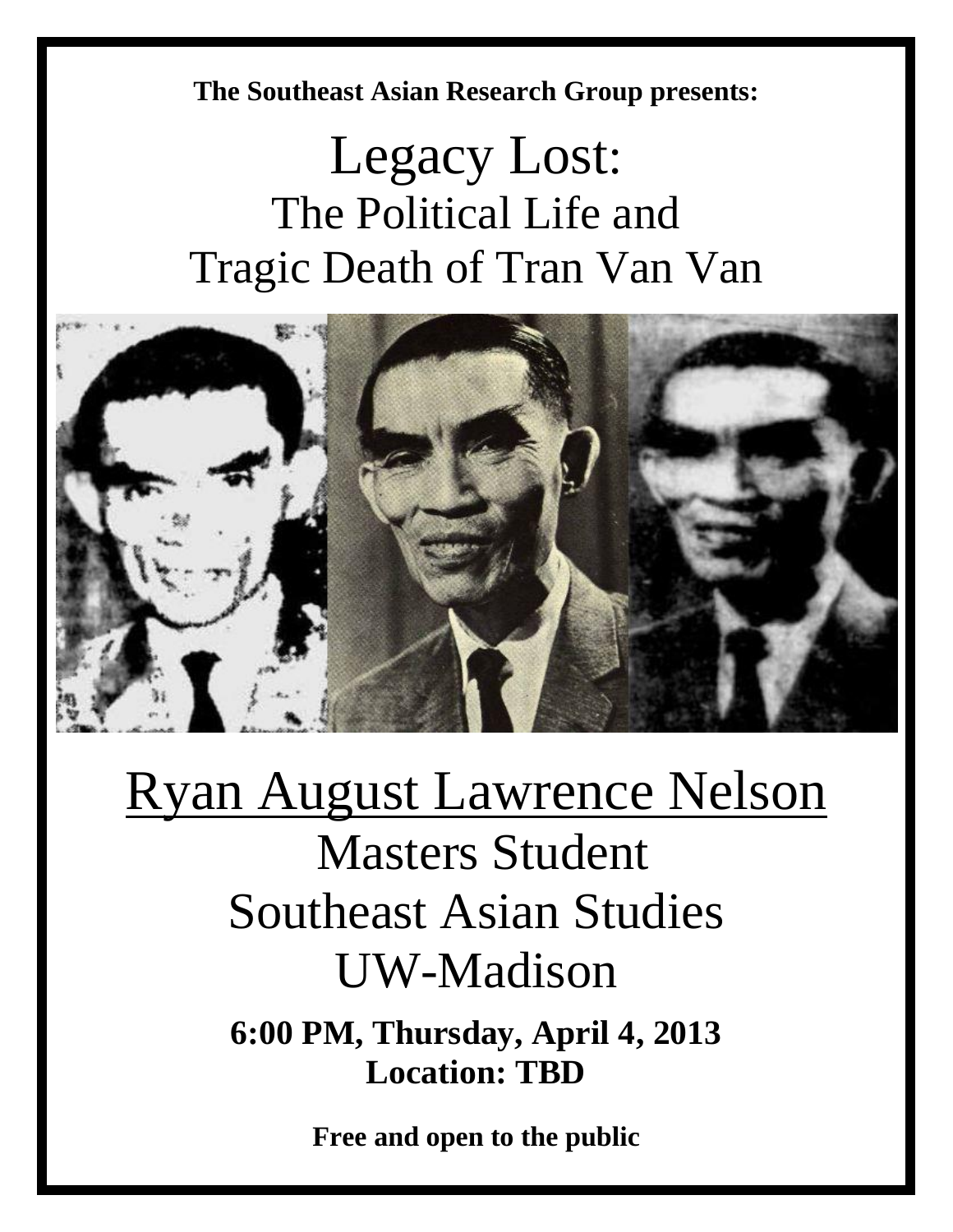**The Southeast Asian Research Group presents:** 

## Legacy Lost: The Political Life and Tragic Death of Tran Van Van



## Ryan August Lawrence Nelson

Masters Student Southeast Asian Studies UW-Madison

**6:00 PM, Thursday, April 4, 2013 Location: TBD**

**Free and open to the public**